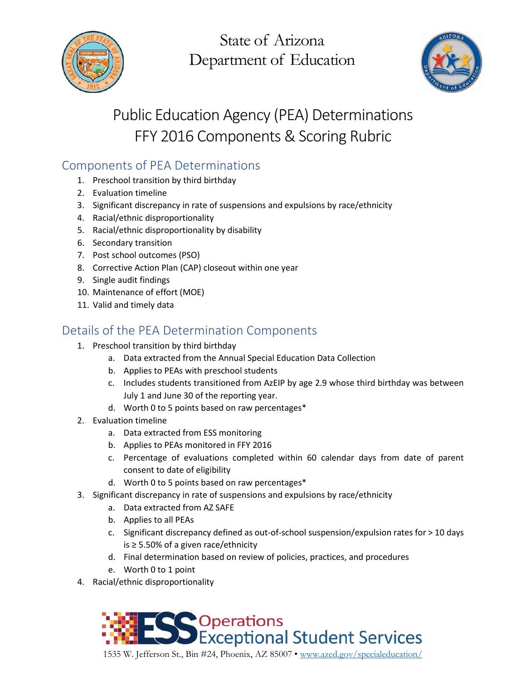

State of Arizona Department of Education



# Public Education Agency (PEA) Determinations FFY 2016 Components & Scoring Rubric

## Components of PEA Determinations

- 1. Preschool transition by third birthday
- 2. Evaluation timeline
- 3. Significant discrepancy in rate of suspensions and expulsions by race/ethnicity
- 4. Racial/ethnic disproportionality
- 5. Racial/ethnic disproportionality by disability
- 6. Secondary transition
- 7. Post school outcomes (PSO)
- 8. Corrective Action Plan (CAP) closeout within one year
- 9. Single audit findings
- 10. Maintenance of effort (MOE)
- 11. Valid and timely data

### Details of the PEA Determination Components

- 1. Preschool transition by third birthday
	- a. Data extracted from the Annual Special Education Data Collection
	- b. Applies to PEAs with preschool students
	- c. Includes students transitioned from AzEIP by age 2.9 whose third birthday was between July 1 and June 30 of the reporting year.
	- d. Worth 0 to 5 points based on raw percentages\*
- 2. Evaluation timeline
	- a. Data extracted from ESS monitoring
	- b. Applies to PEAs monitored in FFY 2016
	- c. Percentage of evaluations completed within 60 calendar days from date of parent consent to date of eligibility
	- d. Worth 0 to 5 points based on raw percentages\*
- 3. Significant discrepancy in rate of suspensions and expulsions by race/ethnicity
	- a. Data extracted from AZ SAFE
	- b. Applies to all PEAs
	- c. Significant discrepancy defined as out-of-school suspension/expulsion rates for > 10 days is ≥ 5.50% of a given race/ethnicity
	- d. Final determination based on review of policies, practices, and procedures
	- e. Worth 0 to 1 point
- 4. Racial/ethnic disproportionality



1535 W. Jefferson St., Bin #24, Phoenix, AZ 85007 • [www.azed.gov/specialeducation/](http://www.azed.gov/specialeducation/)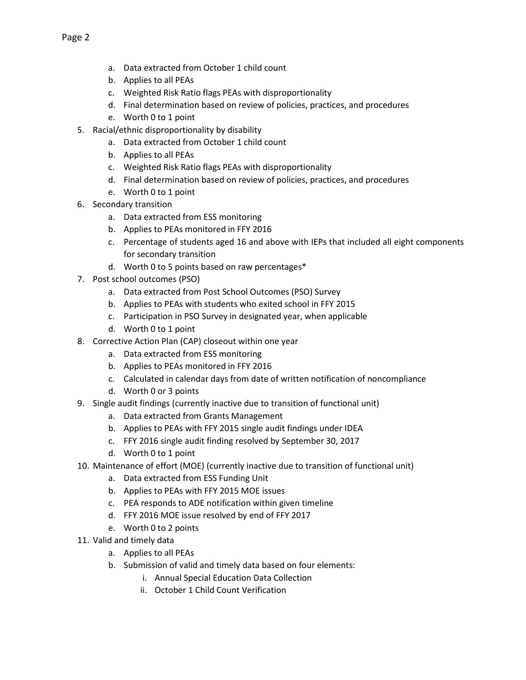- a. Data extracted from October 1 child count
- b. Applies to all PEAs
- c. Weighted Risk Ratio flags PEAs with disproportionality
- d. Final determination based on review of policies, practices, and procedures
- e. Worth 0 to 1 point
- 5. Racial/ethnic disproportionality by disability
	- a. Data extracted from October 1 child count
	- b. Applies to all PEAs
	- c. Weighted Risk Ratio flags PEAs with disproportionality
	- d. Final determination based on review of policies, practices, and procedures
	- e. Worth 0 to 1 point
- 6. Secondary transition
	- a. Data extracted from ESS monitoring
	- b. Applies to PEAs monitored in FFY 2016
	- c. Percentage of students aged 16 and above with IEPs that included all eight components for secondary transition
	- d. Worth 0 to 5 points based on raw percentages\*
- 7. Post school outcomes (PSO)
	- a. Data extracted from Post School Outcomes (PSO) Survey
	- b. Applies to PEAs with students who exited school in FFY 2015
	- c. Participation in PSO Survey in designated year, when applicable
	- d. Worth 0 to 1 point
- 8. Corrective Action Plan (CAP) closeout within one year
	- a. Data extracted from ESS monitoring
	- b. Applies to PEAs monitored in FFY 2016
	- c. Calculated in calendar days from date of written notification of noncompliance
	- d. Worth 0 or 3 points
- 9. Single audit findings (currently inactive due to transition of functional unit)
	- a. Data extracted from Grants Management
	- b. Applies to PEAs with FFY 2015 single audit findings under IDEA
	- c. FFY 2016 single audit finding resolved by September 30, 2017
	- d. Worth 0 to 1 point
- 10. Maintenance of effort (MOE) (currently inactive due to transition of functional unit)
	- a. Data extracted from ESS Funding Unit
	- b. Applies to PEAs with FFY 2015 MOE issues
	- c. PEA responds to ADE notification within given timeline
	- d. FFY 2016 MOE issue resolved by end of FFY 2017
	- e. Worth 0 to 2 points
- 11. Valid and timely data
	- a. Applies to all PEAs
	- b. Submission of valid and timely data based on four elements:
		- i. Annual Special Education Data Collection
		- ii. October 1 Child Count Verification